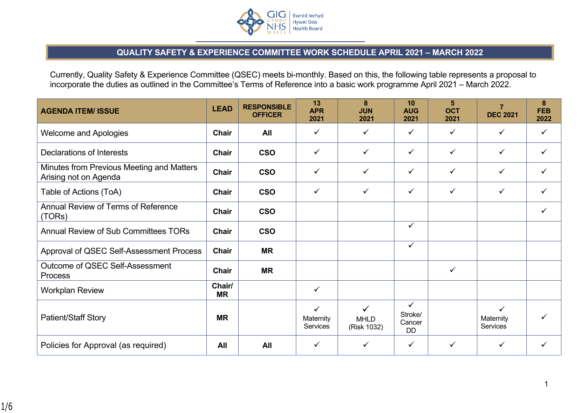

## **QUALITY SAFETY & EXPERIENCE COMMITTEE WORK SCHEDULE APRIL 2021 – MARCH 2022**

Currently, Quality Safety & Experience Committee (QSEC) meets bi-monthly. Based on this, the following table represents a proposal to incorporate the duties as outlined in the Committee's Terms of Reference into a basic work programme April 2021 – March 2022.

| <b>AGENDA ITEM/ ISSUE</b>                                          | <b>LEAD</b>         | <b>RESPONSIBLE</b><br><b>OFFICER</b> | 13<br><b>APR</b><br>2021              | 8<br><b>JUN</b><br>2021         | 10<br><b>AUG</b><br>2021                       | 5<br><b>OCT</b><br>2021 | $\overline{7}$<br><b>DEC 2021</b> | 8<br><b>FEB</b><br>2022 |
|--------------------------------------------------------------------|---------------------|--------------------------------------|---------------------------------------|---------------------------------|------------------------------------------------|-------------------------|-----------------------------------|-------------------------|
| <b>Welcome and Apologies</b>                                       | <b>Chair</b>        | All                                  | ✓                                     | ✓                               | ✓                                              | $\checkmark$            | ✓                                 | $\checkmark$            |
| <b>Declarations of Interests</b>                                   | <b>Chair</b>        | <b>CSO</b>                           | ✓                                     | ✓                               | $\checkmark$                                   | $\checkmark$            | ✓                                 | ✓                       |
| Minutes from Previous Meeting and Matters<br>Arising not on Agenda | <b>Chair</b>        | <b>CSO</b>                           | ✓                                     | $\checkmark$                    | $\checkmark$                                   | $\checkmark$            | $\checkmark$                      | ✓                       |
| Table of Actions (ToA)                                             | <b>Chair</b>        | <b>CSO</b>                           | ✓                                     | ✓                               | $\checkmark$                                   | $\checkmark$            | ✓                                 | ✓                       |
| Annual Review of Terms of Reference<br>(TORs)                      | <b>Chair</b>        | <b>CSO</b>                           |                                       |                                 |                                                |                         |                                   | ✓                       |
| <b>Annual Review of Sub Committees TORs</b>                        | <b>Chair</b>        | <b>CSO</b>                           |                                       |                                 | ✓                                              |                         |                                   |                         |
| Approval of QSEC Self-Assessment Process                           | <b>Chair</b>        | <b>MR</b>                            |                                       |                                 | $\checkmark$                                   |                         |                                   |                         |
| Outcome of QSEC Self-Assessment<br>Process                         | Chair               | <b>MR</b>                            |                                       |                                 |                                                | $\checkmark$            |                                   |                         |
| <b>Workplan Review</b>                                             | Chair/<br><b>MR</b> |                                      | ✓                                     |                                 |                                                |                         |                                   |                         |
| Patient/Staff Story                                                | <b>MR</b>           |                                      | $\checkmark$<br>Maternity<br>Services | ✓<br><b>MHLD</b><br>(Risk 1032) | $\checkmark$<br>Stroke/<br>Cancer<br><b>DD</b> |                         | ✓<br>Maternity<br>Services        |                         |
| Policies for Approval (as required)                                | All                 | All                                  | ✓                                     | ✓                               | $\checkmark$                                   | ✓                       | ✓                                 | ✓                       |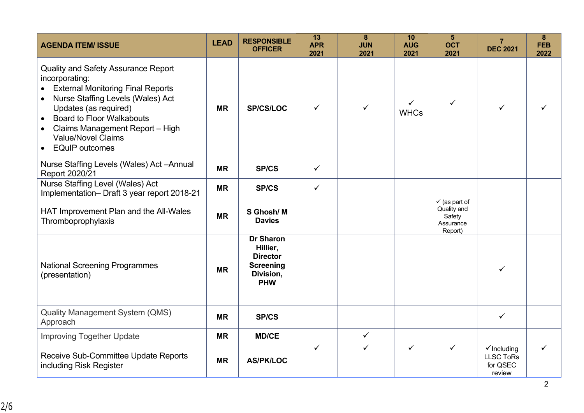| <b>AGENDA ITEM/ ISSUE</b>                                                                                                                                                                                                                                                                                                     | <b>LEAD</b> | <b>RESPONSIBLE</b><br><b>OFFICER</b>                                                           | 13<br><b>APR</b><br>2021 | 8<br><b>JUN</b><br>2021 | 10<br><b>AUG</b><br>2021    | $5\phantom{.}$<br><b>OCT</b><br>2021                                      | $\overline{7}$<br><b>DEC 2021</b>                                | 8<br><b>FEB</b><br>2022 |
|-------------------------------------------------------------------------------------------------------------------------------------------------------------------------------------------------------------------------------------------------------------------------------------------------------------------------------|-------------|------------------------------------------------------------------------------------------------|--------------------------|-------------------------|-----------------------------|---------------------------------------------------------------------------|------------------------------------------------------------------|-------------------------|
| <b>Quality and Safety Assurance Report</b><br>incorporating:<br><b>External Monitoring Final Reports</b><br>Nurse Staffing Levels (Wales) Act<br>Updates (as required)<br><b>Board to Floor Walkabouts</b><br>$\bullet$<br>Claims Management Report - High<br><b>Value/Novel Claims</b><br><b>EQuIP</b> outcomes<br>$\bullet$ | <b>MR</b>   | <b>SP/CS/LOC</b>                                                                               | ✓                        | $\checkmark$            | $\checkmark$<br><b>WHCs</b> | $\checkmark$                                                              | $\checkmark$                                                     |                         |
| Nurse Staffing Levels (Wales) Act - Annual<br>Report 2020/21                                                                                                                                                                                                                                                                  | <b>MR</b>   | <b>SP/CS</b>                                                                                   | $\checkmark$             |                         |                             |                                                                           |                                                                  |                         |
| Nurse Staffing Level (Wales) Act<br>Implementation- Draft 3 year report 2018-21                                                                                                                                                                                                                                               | <b>MR</b>   | <b>SP/CS</b>                                                                                   | $\checkmark$             |                         |                             |                                                                           |                                                                  |                         |
| HAT Improvement Plan and the All-Wales<br>Thromboprophylaxis                                                                                                                                                                                                                                                                  | <b>MR</b>   | S Ghosh/M<br><b>Davies</b>                                                                     |                          |                         |                             | $\checkmark$ (as part of<br>Quality and<br>Safety<br>Assurance<br>Report) |                                                                  |                         |
| <b>National Screening Programmes</b><br>(presentation)                                                                                                                                                                                                                                                                        | <b>MR</b>   | <b>Dr Sharon</b><br>Hillier,<br><b>Director</b><br><b>Screening</b><br>Division,<br><b>PHW</b> |                          |                         |                             |                                                                           | $\checkmark$                                                     |                         |
| <b>Quality Management System (QMS)</b><br>Approach                                                                                                                                                                                                                                                                            | <b>MR</b>   | <b>SP/CS</b>                                                                                   |                          |                         |                             |                                                                           | $\checkmark$                                                     |                         |
| <b>Improving Together Update</b>                                                                                                                                                                                                                                                                                              | <b>MR</b>   | <b>MD/CE</b>                                                                                   |                          | $\checkmark$            |                             |                                                                           |                                                                  |                         |
| Receive Sub-Committee Update Reports<br>including Risk Register                                                                                                                                                                                                                                                               | <b>MR</b>   | <b>AS/PK/LOC</b>                                                                               | ✓                        | $\checkmark$            | $\checkmark$                | $\checkmark$                                                              | $\checkmark$ Including<br><b>LLSC ToRs</b><br>for QSEC<br>review | $\checkmark$            |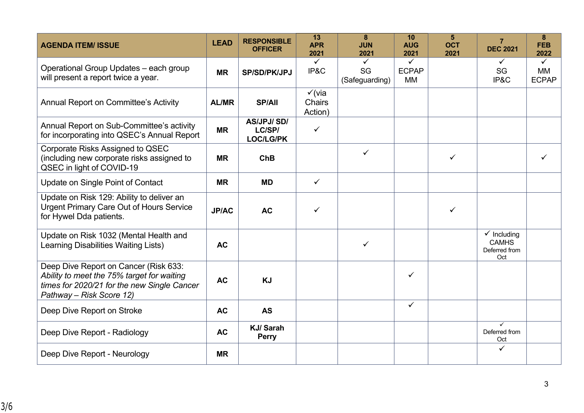| <b>AGENDA ITEM/ ISSUE</b>                                                                                                                                      | <b>LEAD</b>  | <b>RESPONSIBLE</b><br><b>OFFICER</b>            | 13<br><b>APR</b><br>2021               | 8<br><b>JUN</b><br>2021              | 10<br><b>AUG</b><br>2021                             | $5\phantom{1}$<br><b>OCT</b><br>2021 | $\overline{7}$<br><b>DEC 2021</b>                              | 8<br><b>FEB</b><br>2022                   |
|----------------------------------------------------------------------------------------------------------------------------------------------------------------|--------------|-------------------------------------------------|----------------------------------------|--------------------------------------|------------------------------------------------------|--------------------------------------|----------------------------------------------------------------|-------------------------------------------|
| Operational Group Updates - each group<br>will present a report twice a year.                                                                                  | <b>MR</b>    | <b>SP/SD/PK/JPJ</b>                             | $\checkmark$<br>IP&C                   | $\checkmark$<br>SG<br>(Safeguarding) | $\overline{\checkmark}$<br><b>ECPAP</b><br><b>MM</b> |                                      | ✓<br>SG<br>IP&C                                                | $\checkmark$<br><b>MM</b><br><b>ECPAP</b> |
| Annual Report on Committee's Activity                                                                                                                          | <b>AL/MR</b> | <b>SP/All</b>                                   | $\checkmark$ (via<br>Chairs<br>Action) |                                      |                                                      |                                      |                                                                |                                           |
| Annual Report on Sub-Committee's activity<br>for incorporating into QSEC's Annual Report                                                                       | <b>MR</b>    | <b>AS/JPJ/SD/</b><br>LC/SP/<br><b>LOC/LG/PK</b> | $\checkmark$                           |                                      |                                                      |                                      |                                                                |                                           |
| Corporate Risks Assigned to QSEC<br>(including new corporate risks assigned to<br>QSEC in light of COVID-19                                                    | <b>MR</b>    | <b>ChB</b>                                      |                                        | $\checkmark$                         |                                                      | $\checkmark$                         |                                                                |                                           |
| Update on Single Point of Contact                                                                                                                              | <b>MR</b>    | <b>MD</b>                                       | $\checkmark$                           |                                      |                                                      |                                      |                                                                |                                           |
| Update on Risk 129: Ability to deliver an<br><b>Urgent Primary Care Out of Hours Service</b><br>for Hywel Dda patients.                                        | <b>JP/AC</b> | <b>AC</b>                                       | ✓                                      |                                      |                                                      | ✓                                    |                                                                |                                           |
| Update on Risk 1032 (Mental Health and<br><b>Learning Disabilities Waiting Lists)</b>                                                                          | <b>AC</b>    |                                                 |                                        | $\checkmark$                         |                                                      |                                      | $\checkmark$ Including<br><b>CAMHS</b><br>Deferred from<br>Oct |                                           |
| Deep Dive Report on Cancer (Risk 633:<br>Ability to meet the 75% target for waiting<br>times for 2020/21 for the new Single Cancer<br>Pathway - Risk Score 12) | <b>AC</b>    | <b>KJ</b>                                       |                                        |                                      | $\checkmark$                                         |                                      |                                                                |                                           |
| Deep Dive Report on Stroke                                                                                                                                     | <b>AC</b>    | <b>AS</b>                                       |                                        |                                      | $\checkmark$                                         |                                      |                                                                |                                           |
| Deep Dive Report - Radiology                                                                                                                                   | <b>AC</b>    | KJ/Sarah<br><b>Perry</b>                        |                                        |                                      |                                                      |                                      | $\checkmark$<br>Deferred from<br>Oct                           |                                           |
| Deep Dive Report - Neurology                                                                                                                                   | <b>MR</b>    |                                                 |                                        |                                      |                                                      |                                      | ✓                                                              |                                           |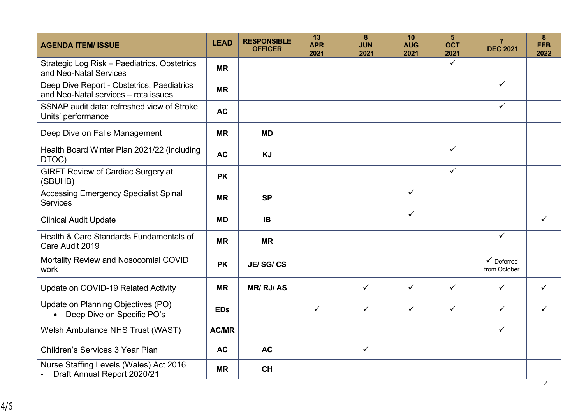| <b>AGENDA ITEM/ ISSUE</b>                                                          | <b>LEAD</b>  | <b>RESPONSIBLE</b><br><b>OFFICER</b> | 13<br><b>APR</b><br>2021 | 8<br><b>JUN</b><br>2021 | 10<br><b>AUG</b><br>2021 | 5 <sup>5</sup><br><b>OCT</b><br>2021 | $\overline{7}$<br><b>DEC 2021</b>     | 8<br><b>FEB</b><br>2022 |
|------------------------------------------------------------------------------------|--------------|--------------------------------------|--------------------------|-------------------------|--------------------------|--------------------------------------|---------------------------------------|-------------------------|
| Strategic Log Risk - Paediatrics, Obstetrics<br>and Neo-Natal Services             | <b>MR</b>    |                                      |                          |                         |                          | $\checkmark$                         |                                       |                         |
| Deep Dive Report - Obstetrics, Paediatrics<br>and Neo-Natal services - rota issues | <b>MR</b>    |                                      |                          |                         |                          |                                      | $\checkmark$                          |                         |
| SSNAP audit data: refreshed view of Stroke<br>Units' performance                   | <b>AC</b>    |                                      |                          |                         |                          |                                      | $\checkmark$                          |                         |
| Deep Dive on Falls Management                                                      | <b>MR</b>    | <b>MD</b>                            |                          |                         |                          |                                      |                                       |                         |
| Health Board Winter Plan 2021/22 (including<br>DTOC)                               | <b>AC</b>    | <b>KJ</b>                            |                          |                         |                          | $\checkmark$                         |                                       |                         |
| <b>GIRFT Review of Cardiac Surgery at</b><br>(SBUHB)                               | <b>PK</b>    |                                      |                          |                         |                          | $\checkmark$                         |                                       |                         |
| <b>Accessing Emergency Specialist Spinal</b><br><b>Services</b>                    | <b>MR</b>    | <b>SP</b>                            |                          |                         | $\checkmark$             |                                      |                                       |                         |
| <b>Clinical Audit Update</b>                                                       | <b>MD</b>    | <b>IB</b>                            |                          |                         | $\checkmark$             |                                      |                                       | ✓                       |
| Health & Care Standards Fundamentals of<br>Care Audit 2019                         | <b>MR</b>    | <b>MR</b>                            |                          |                         |                          |                                      | $\checkmark$                          |                         |
| Mortality Review and Nosocomial COVID<br>work                                      | <b>PK</b>    | <b>JE/SG/CS</b>                      |                          |                         |                          |                                      | $\checkmark$ Deferred<br>from October |                         |
| Update on COVID-19 Related Activity                                                | <b>MR</b>    | <b>MR/ RJ/ AS</b>                    |                          | $\checkmark$            | $\checkmark$             | $\checkmark$                         | ✓                                     | ✓                       |
| Update on Planning Objectives (PO)<br>• Deep Dive on Specific PO's                 | <b>EDs</b>   |                                      | $\checkmark$             | $\checkmark$            | $\checkmark$             | $\checkmark$                         | $\checkmark$                          | $\checkmark$            |
| Welsh Ambulance NHS Trust (WAST)                                                   | <b>AC/MR</b> |                                      |                          |                         |                          |                                      | $\checkmark$                          |                         |
| <b>Children's Services 3 Year Plan</b>                                             | <b>AC</b>    | <b>AC</b>                            |                          | $\checkmark$            |                          |                                      |                                       |                         |
| Nurse Staffing Levels (Wales) Act 2016<br>Draft Annual Report 2020/21              | <b>MR</b>    | <b>CH</b>                            |                          |                         |                          |                                      |                                       |                         |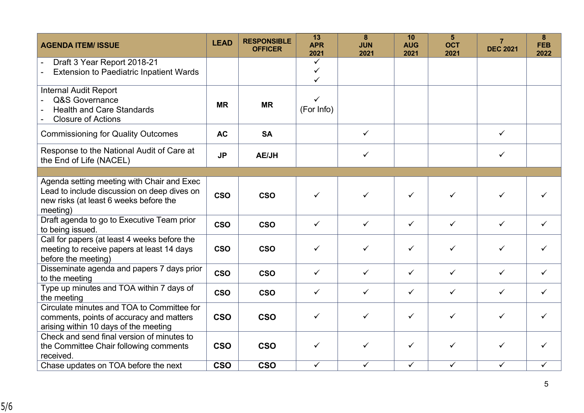| <b>AGENDA ITEM/ ISSUE</b>                                                                                                                       | <b>LEAD</b> | <b>RESPONSIBLE</b><br><b>OFFICER</b> | 13<br><b>APR</b><br>2021 | 8<br><b>JUN</b><br>2021 | 10<br><b>AUG</b><br>2021 | $5\phantom{.}$<br><b>OCT</b><br>2021 | $\overline{7}$<br><b>DEC 2021</b> | $\boldsymbol{8}$<br><b>FEB</b><br>2022 |
|-------------------------------------------------------------------------------------------------------------------------------------------------|-------------|--------------------------------------|--------------------------|-------------------------|--------------------------|--------------------------------------|-----------------------------------|----------------------------------------|
| Draft 3 Year Report 2018-21<br><b>Extension to Paediatric Inpatient Wards</b>                                                                   |             |                                      | ✓                        |                         |                          |                                      |                                   |                                        |
| <b>Internal Audit Report</b><br>Q&S Governance<br><b>Health and Care Standards</b><br><b>Closure of Actions</b>                                 | <b>MR</b>   | <b>MR</b>                            | (For Info)               |                         |                          |                                      |                                   |                                        |
| <b>Commissioning for Quality Outcomes</b>                                                                                                       | <b>AC</b>   | <b>SA</b>                            |                          | $\checkmark$            |                          |                                      | $\checkmark$                      |                                        |
| Response to the National Audit of Care at<br>the End of Life (NACEL)                                                                            | <b>JP</b>   | <b>AE/JH</b>                         |                          | $\checkmark$            |                          |                                      | $\checkmark$                      |                                        |
|                                                                                                                                                 |             |                                      |                          |                         |                          |                                      |                                   |                                        |
| Agenda setting meeting with Chair and Exec<br>Lead to include discussion on deep dives on<br>new risks (at least 6 weeks before the<br>meeting) | <b>CSO</b>  | <b>CSO</b>                           | ✓                        | $\checkmark$            | $\checkmark$             | $\checkmark$                         | $\checkmark$                      |                                        |
| Draft agenda to go to Executive Team prior<br>to being issued.                                                                                  | <b>CSO</b>  | <b>CSO</b>                           | $\checkmark$             | $\checkmark$            | $\checkmark$             | $\checkmark$                         | $\checkmark$                      | $\checkmark$                           |
| Call for papers (at least 4 weeks before the<br>meeting to receive papers at least 14 days<br>before the meeting)                               | <b>CSO</b>  | <b>CSO</b>                           | ✓                        | $\checkmark$            | $\checkmark$             | $\checkmark$                         | $\checkmark$                      | ✓                                      |
| Disseminate agenda and papers 7 days prior<br>to the meeting                                                                                    | <b>CSO</b>  | <b>CSO</b>                           | $\checkmark$             | $\checkmark$            | $\checkmark$             | $\checkmark$                         | $\checkmark$                      | ✓                                      |
| Type up minutes and TOA within 7 days of<br>the meeting                                                                                         | <b>CSO</b>  | <b>CSO</b>                           | $\checkmark$             | $\checkmark$            | $\checkmark$             | $\checkmark$                         | $\checkmark$                      | ✓                                      |
| Circulate minutes and TOA to Committee for<br>comments, points of accuracy and matters<br>arising within 10 days of the meeting                 | <b>CSO</b>  | <b>CSO</b>                           | $\checkmark$             | $\checkmark$            | $\checkmark$             | $\checkmark$                         | $\checkmark$                      | ✓                                      |
| Check and send final version of minutes to<br>the Committee Chair following comments<br>received.                                               | <b>CSO</b>  | <b>CSO</b>                           | $\checkmark$             | $\checkmark$            | $\checkmark$             | $\checkmark$                         | $\checkmark$                      |                                        |
| Chase updates on TOA before the next                                                                                                            | <b>CSO</b>  | <b>CSO</b>                           | $\checkmark$             | $\checkmark$            | $\checkmark$             | $\checkmark$                         | $\checkmark$                      | $\checkmark$                           |